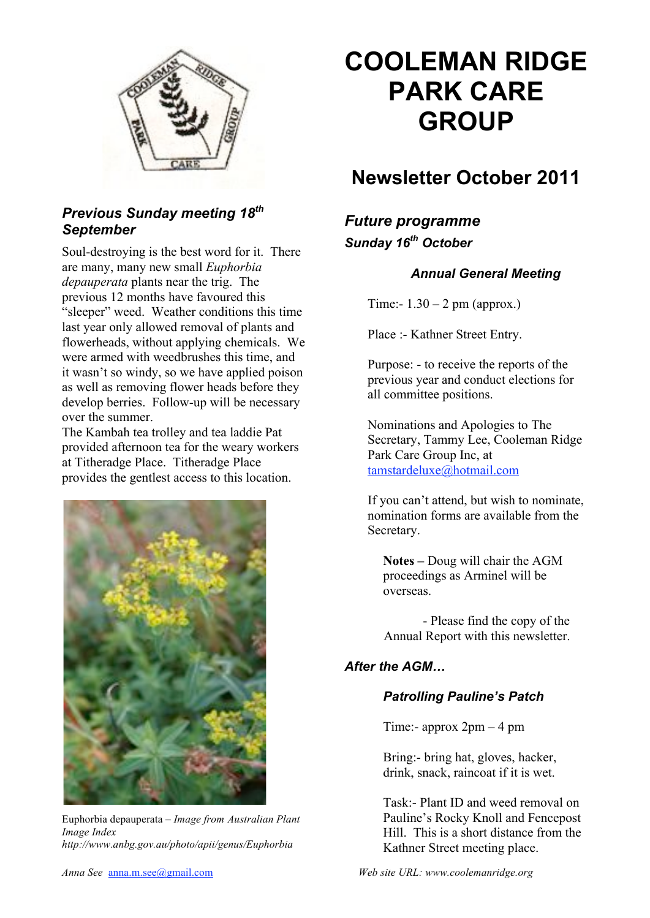

#### *Previous Sunday meeting 18th September*

Soul-destroying is the best word for it. There are many, many new small *Euphorbia depauperata* plants near the trig. The previous 12 months have favoured this "sleeper" weed. Weather conditions this time last year only allowed removal of plants and flowerheads, without applying chemicals. We were armed with weedbrushes this time, and it wasn't so windy, so we have applied poison as well as removing flower heads before they develop berries. Follow-up will be necessary over the summer.

The Kambah tea trolley and tea laddie Pat provided afternoon tea for the weary workers at Titheradge Place. Titheradge Place provides the gentlest access to this location.



Euphorbia depauperata *– Image from Australian Plant Image Index http://www.anbg.gov.au/photo/apii/genus/Euphorbia*

# **COOLEMAN RIDGE PARK CARE GROUP**

# **Newsletter October 2011**

## *Future programme Sunday 16th October*

#### *Annual General Meeting*

Time:-  $1.30 - 2$  pm (approx.)

Place :- Kathner Street Entry.

Purpose: - to receive the reports of the previous year and conduct elections for all committee positions.

Nominations and Apologies to The Secretary, Tammy Lee, Cooleman Ridge Park Care Group Inc, at tamstardeluxe@hotmail.com

If you can't attend, but wish to nominate, nomination forms are available from the Secretary.

**Notes –** Doug will chair the AGM proceedings as Arminel will be overseas.

- Please find the copy of the Annual Report with this newsletter.

#### *After the AGM…*

#### *Patrolling Pauline's Patch*

Time:- approx 2pm – 4 pm

Bring:- bring hat, gloves, hacker, drink, snack, raincoat if it is wet.

Task:- Plant ID and weed removal on Pauline's Rocky Knoll and Fencepost Hill. This is a short distance from the Kathner Street meeting place.